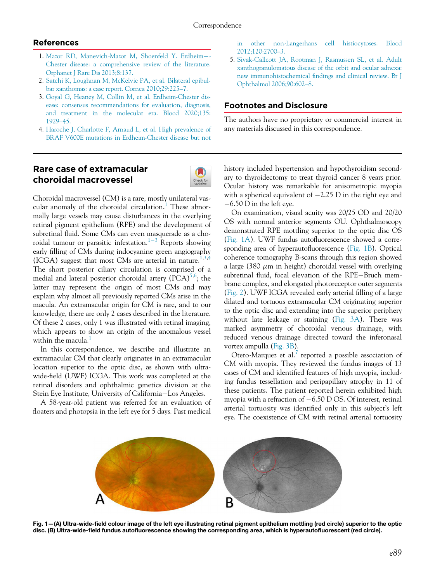## References

- 1. [Mazor RD, Manevich-Mazor M, Shoenfeld Y. Erdheim](http://refhub.elsevier.com/S0008-4182(21)00301-X/sbref0001_2252)[-](http://refhub.elsevier.com/S0008-4182(21)00301-X/sbref0001_2252) [Chester disease: a comprehensive review of the literature.](http://refhub.elsevier.com/S0008-4182(21)00301-X/sbref0001_2252) [Orphanet J Rare Dis 2013;8:137.](http://refhub.elsevier.com/S0008-4182(21)00301-X/sbref0001_2252)
- 2. [Satchi K, Loughnan M, McKelvie PA, et al. Bilateral epibul](http://refhub.elsevier.com/S0008-4182(21)00301-X/sbref0002_2252)[bar xanthomas: a case report. Cornea 2010;29:225](http://refhub.elsevier.com/S0008-4182(21)00301-X/sbref0002_2252)–7.
- 3. [Goyal G, Heaney M, Collin M, et al. Erdheim-Chester dis](http://refhub.elsevier.com/S0008-4182(21)00301-X/sbref0003_2252)[ease: consensus recommendations for evaluation, diagnosis,](http://refhub.elsevier.com/S0008-4182(21)00301-X/sbref0003_2252) [and treatment in the molecular era. Blood 2020;135:](http://refhub.elsevier.com/S0008-4182(21)00301-X/sbref0003_2252) [1929](http://refhub.elsevier.com/S0008-4182(21)00301-X/sbref0003_2252)–45.
- 4. [Haroche J, Charlotte F, Arnaud L, et al. High prevalence of](http://refhub.elsevier.com/S0008-4182(21)00301-X/sbref0004_2252) [BRAF V600E mutations in Erdheim-Chester disease but not](http://refhub.elsevier.com/S0008-4182(21)00301-X/sbref0004_2252)

## Rare case of extramacular choroidal macrovessel



Choroidal macrovessel (CM) is a rare, mostly unilateral vas-cular anomaly of the choroidal circulation.<sup>[1](#page-2-0)</sup> These abnormally large vessels may cause disturbances in the overlying retinal pigment epithelium (RPE) and the development of subretinal fluid. Some CMs can even masquerade as a cho-roidal tumour or parasitic infestation.<sup>[1](#page-2-0)-[3](#page-2-0)</sup> Reports showing early filling of CMs during indocyanine green angiography (ICGA) suggest that most CMs are arterial in nature.<sup>[1](#page-2-0)[,3,](#page-2-1)[4](#page-2-2)</sup> The short posterior ciliary circulation is comprised of a medial and lateral posterior choroidal artery (PCA)<sup>[5,](#page-2-3)[6](#page-2-4)</sup>; the latter may represent the origin of most CMs and may explain why almost all previously reported CMs arise in the macula. An extramacular origin for CM is rare, and to our knowledge, there are only 2 cases described in the literature. Of these 2 cases, only 1 was illustrated with retinal imaging, which appears to show an origin of the anomalous vessel within the macula.<sup>[1](#page-2-0)</sup>

In this correspondence, we describe and illustrate an extramacular CM that clearly originates in an extramacular location superior to the optic disc, as shown with ultrawide-field (UWF) ICGA. This work was completed at the retinal disorders and ophthalmic genetics division at the Stein Eye Institute, University of California-Los Angeles.

<span id="page-0-0"></span>A 58-year-old patient was referred for an evaluation of floaters and photopsia in the left eye for 5 days. Past medical

[in other non-Langerhans cell histiocytoses. Blood](http://refhub.elsevier.com/S0008-4182(21)00301-X/sbref0004_2252) [2012;120:2700](http://refhub.elsevier.com/S0008-4182(21)00301-X/sbref0004_2252)–3.

5. [Sivak-Callcott JA, Rootman J, Rasmussen SL, et al. Adult](http://refhub.elsevier.com/S0008-4182(21)00301-X/sbref0005_2252) [xanthogranulomatous disease of the orbit and ocular adnexa:](http://refhub.elsevier.com/S0008-4182(21)00301-X/sbref0005_2252) new immunohistochemical fi[ndings and clinical review. Br J](http://refhub.elsevier.com/S0008-4182(21)00301-X/sbref0005_2252) [Ophthalmol 2006;90:602](http://refhub.elsevier.com/S0008-4182(21)00301-X/sbref0005_2252)–8.

## Footnotes and Disclosure

The authors have no proprietary or commercial interest in any materials discussed in this correspondence.

history included hypertension and hypothyroidism secondary to thyroidectomy to treat thyroid cancer 8 years prior. Ocular history was remarkable for anisometropic myopia with a spherical equivalent of  $-2.25$  D in the right eye and  $-6.50$  D in the left eye.

On examination, visual acuity was 20/25 OD and 20/20 OS with normal anterior segments OU. Ophthalmoscopy demonstrated RPE mottling superior to the optic disc OS [\(Fig. 1A\)](#page-0-0). UWF fundus autofluorescence showed a corresponding area of hyperautofluorescence ([Fig. 1B](#page-0-0)). Optical coherence tomography B-scans through this region showed a large (380  $\mu$ m in height) choroidal vessel with overlying subretinal fluid, focal elevation of the RPE-Bruch membrane complex, and elongated photoreceptor outer segments [\(Fig. 2\)](#page-1-0). UWF ICGA revealed early arterial filling of a large dilated and tortuous extramacular CM originating superior to the optic disc and extending into the superior periphery without late leakage or staining ([Fig. 3A\)](#page-1-1). There was marked asymmetry of choroidal venous drainage, with reduced venous drainage directed toward the inferonasal vortex ampulla ([Fig. 3B\)](#page-1-1).

Otero-Marquez et al.<sup>7</sup> reported a possible association of CM with myopia. They reviewed the fundus images of 13 cases of CM and identified features of high myopia, including fundus tessellation and peripapillary atrophy in 11 of these patients. The patient reported herein exhibited high myopia with a refraction of  $-6.50$  D OS. Of interest, retinal arterial tortuosity was identified only in this subject's left eye. The coexistence of CM with retinal arterial tortuosity



Fig. 1—(A) Ultra-wide-field colour image of the left eye illustrating retinal pigment epithelium mottling (red circle) superior to the optic disc. (B) Ultra-wide-field fundus autofluorescence showing the corresponding area, which is hyperautofluorescent (red circle).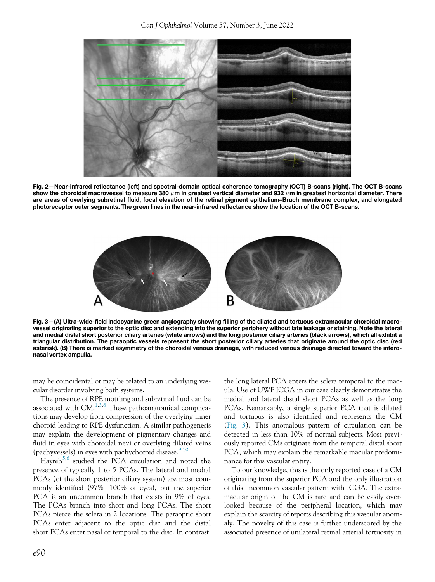<span id="page-1-0"></span>

<span id="page-1-1"></span>Fig. 2—Near-infrared reflectance (left) and spectral-domain optical coherence tomography (OCT) B-scans (right). The OCT B-scans show the choroidal macrovessel to measure 380  $\mu$ m in greatest vertical diameter and 932  $\mu$ m in greatest horizontal diameter. There are areas of overlying subretinal fluid, focal elevation of the retinal pigment epithelium–Bruch membrane complex, and elongated photoreceptor outer segments. The green lines in the near-infrared reflectance show the location of the OCT B-scans.



Fig. 3—(A) Ultra-wide-field indocyanine green angiography showing filling of the dilated and tortuous extramacular choroidal macrovessel originating superior to the optic disc and extending into the superior periphery without late leakage or staining. Note the lateral and medial distal short posterior ciliary arteries (white arrows) and the long posterior ciliary arteries (black arrows), which all exhibit a triangular distribution. The paraoptic vessels represent the short posterior ciliary arteries that originate around the optic disc (red asterisk). (B) There is marked asymmetry of the choroidal venous drainage, with reduced venous drainage directed toward the inferonasal vortex ampulla.

may be coincidental or may be related to an underlying vascular disorder involving both systems.

The presence of RPE mottling and subretinal fluid can be associated with  $CM.$ <sup>[1](#page-2-0)[,3,](#page-2-1)[8](#page-2-6)</sup> These pathoanatomical complications may develop from compression of the overlying inner choroid leading to RPE dysfunction. A similar pathogenesis may explain the development of pigmentary changes and fluid in eyes with choroidal nevi or overlying dilated veins (pachyvessels) in eyes with pachychoroid disease.  $9,10$  $9,10$ 

Hayreh<sup>[5,](#page-2-3)[6](#page-2-4)</sup> studied the PCA circulation and noted the presence of typically 1 to 5 PCAs. The lateral and medial PCAs (of the short posterior ciliary system) are most commonly identified  $(97\%-100\%)$  of eyes), but the superior PCA is an uncommon branch that exists in 9% of eyes. The PCAs branch into short and long PCAs. The short PCAs pierce the sclera in 2 locations. The paraoptic short PCAs enter adjacent to the optic disc and the distal short PCAs enter nasal or temporal to the disc. In contrast,

the long lateral PCA enters the sclera temporal to the macula. Use of UWF ICGA in our case clearly demonstrates the medial and lateral distal short PCAs as well as the long PCAs. Remarkably, a single superior PCA that is dilated and tortuous is also identified and represents the CM [\(Fig. 3\)](#page-1-1). This anomalous pattern of circulation can be detected in less than 10% of normal subjects. Most previously reported CMs originate from the temporal distal short PCA, which may explain the remarkable macular predominance for this vascular entity.

To our knowledge, this is the only reported case of a CM originating from the superior PCA and the only illustration of this uncommon vascular pattern with ICGA. The extramacular origin of the CM is rare and can be easily overlooked because of the peripheral location, which may explain the scarcity of reports describing this vascular anomaly. The novelty of this case is further underscored by the associated presence of unilateral retinal arterial tortuosity in